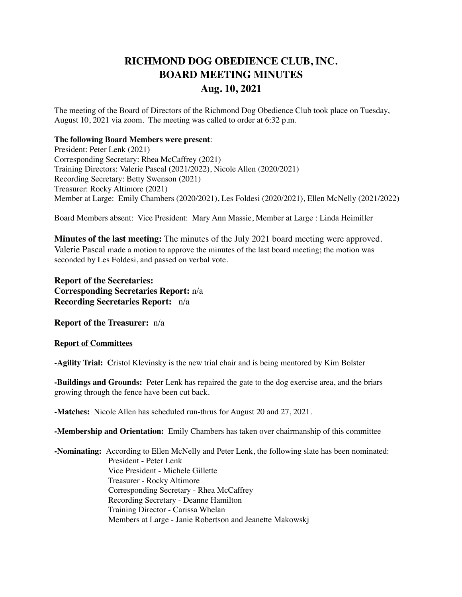## **RICHMOND DOG OBEDIENCE CLUB, INC. BOARD MEETING MINUTES Aug. 10, 2021**

The meeting of the Board of Directors of the Richmond Dog Obedience Club took place on Tuesday, August 10, 2021 via zoom. The meeting was called to order at 6:32 p.m.

## **The following Board Members were present**:

President: Peter Lenk (2021) Corresponding Secretary: Rhea McCaffrey (2021) Training Directors: Valerie Pascal (2021/2022), Nicole Allen (2020/2021) Recording Secretary: Betty Swenson (2021) Treasurer: Rocky Altimore (2021) Member at Large: Emily Chambers (2020/2021), Les Foldesi (2020/2021), Ellen McNelly (2021/2022)

Board Members absent: Vice President: Mary Ann Massie, Member at Large : Linda Heimiller

**Minutes of the last meeting:** The minutes of the July 2021 board meeting were approved. Valerie Pascal made a motion to approve the minutes of the last board meeting; the motion was seconded by Les Foldesi, and passed on verbal vote.

**Report of the Secretaries: Corresponding Secretaries Report:** n/a **Recording Secretaries Report:** n/a

**Report of the Treasurer:** n/a

## **Report of Committees**

**-Agility Trial: C**ristol Klevinsky is the new trial chair and is being mentored by Kim Bolster

**-Buildings and Grounds:** Peter Lenk has repaired the gate to the dog exercise area, and the briars growing through the fence have been cut back.

**-Matches:** Nicole Allen has scheduled run-thrus for August 20 and 27, 2021.

**-Membership and Orientation:** Emily Chambers has taken over chairmanship of this committee

**-Nominating:** According to Ellen McNelly and Peter Lenk, the following slate has been nominated: President - Peter Lenk Vice President - Michele Gillette Treasurer - Rocky Altimore Corresponding Secretary - Rhea McCaffrey Recording Secretary - Deanne Hamilton Training Director - Carissa Whelan Members at Large - Janie Robertson and Jeanette Makowskj